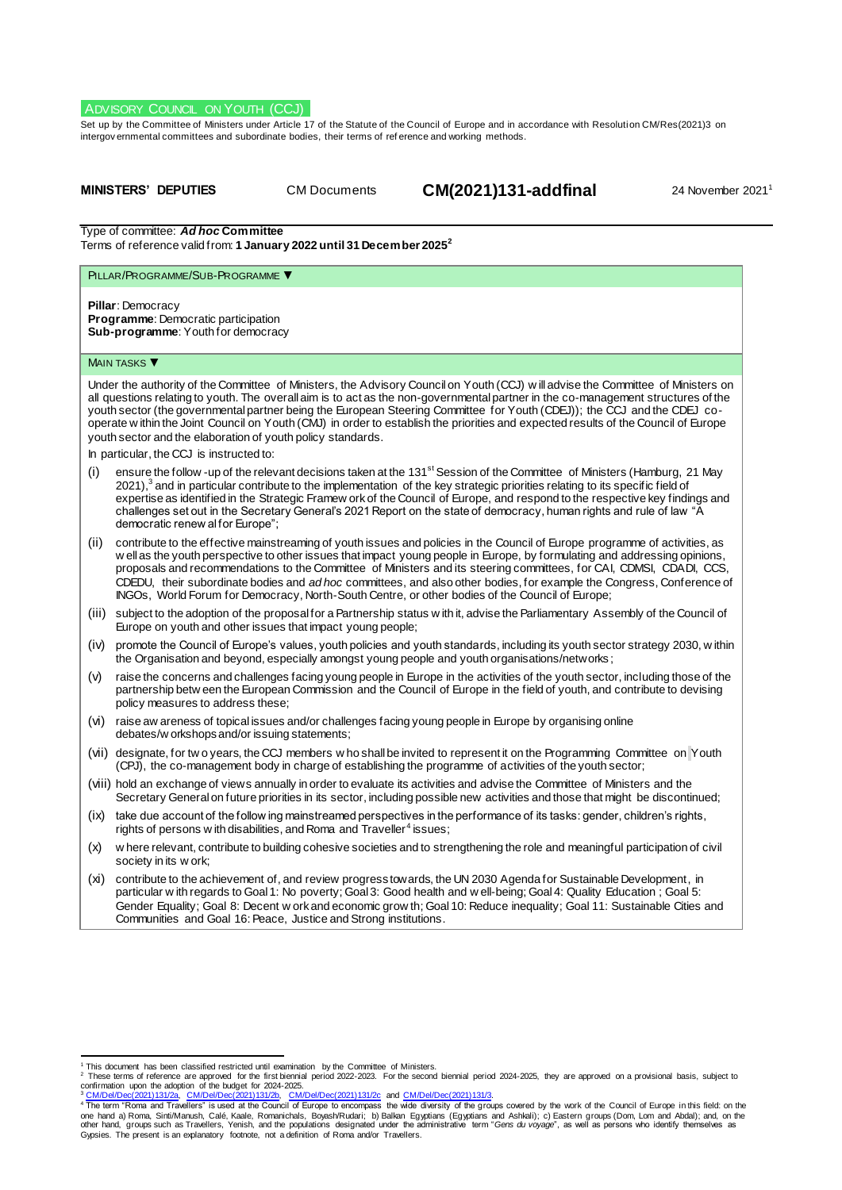## ADVISORY COUNCIL ON YOUTH (CCJ)

Set up by the Committee of Ministers under Article 17 of the Statute of the Council of Europe and in accordance with Resolutio[n CM/Res\(2021\)3](https://search.coe.int/cm/Pages/result_details.aspx?Reference=CM/Res(2011)24) on intergov ernmental committees and subordinate bodies, their terms of ref erence and working methods.

| MINISTERS' DEPUTIES |  |  |
|---------------------|--|--|
|---------------------|--|--|

CM Documents **CM(2021)131-addfinal** 24 November 2021<sup>1</sup>

Type of committee: *Ad hoc* **Committee**

Terms of reference valid from: **1 January 2022 until 31 December 2025<sup>2</sup>**

# PILLAR/PROGRAMME/SUB-PROGRAMME ▼

**Pillar**: Democracy **Programme**: Democratic participation **Sub-programme**: Youth for democracy

### **MAIN TASKS**

Under the authority of the Committee of Ministers, the Advisory Council on Youth (CCJ) w ill advise the Committee of Ministers on all questions relating to youth. The overall aim is to act as the non-governmental partner in the co-management structures of the youth sector (the governmental partner being the European Steering Committee for Youth (CDEJ)); the CCJ and the CDEJ cooperate w ithin the Joint Council on Youth (CMJ) in order to establish the priorities and expected results of the Council of Europe youth sector and the elaboration of youth policy standards.

In particular, the CCJ is instructed to:

- (i) ensure the follow -up of the relevant decisions taken at the 131<sup>st</sup> Session of the Committee of Ministers (Hamburg, 21 May 2021),<sup>3</sup> and in particular contribute to the implementation of the key strategic priorities relating to its specific field of expertise as identified in the Strategic Framew ork of the Council of Europe, and respond to the respective key findings and challenges set out in the Secretary General's 2021 Report on the state of democracy, human rights and rule of law "A democratic renew al for Europe";
- (ii) contribute to the effective mainstreaming of youth issues and policies in the Council of Europe programme of activities, as w ell as the youth perspective to other issues that impact young people in Europe, by formulating and addressing opinions, proposals and recommendations to the Committee of Ministers and its steering committees, for CAI, CDMSI, CDADI, CCS, CDEDU, their subordinate bodies and *ad hoc* committees, and also other bodies, for example the Congress, Conference of INGOs, World Forum for Democracy, North-South Centre, or other bodies of the Council of Europe;
- (iii) subject to the adoption of the proposal for a Partnership status w ith it, advise the Parliamentary Assembly of the Council of Europe on youth and other issues that impact young people;
- (iv) promote the Council of Europe's values, youth policies and youth standards, including its youth sector strategy 2030, w ithin the Organisation and beyond, especially amongst young people and youth organisations/networks ;
- (v) raise the concerns and challenges facing young people in Europe in the activities of the youth sector, including those of the partnership betw een the European Commission and the Council of Europe in the field of youth, and contribute to devising policy measures to address these;
- (vi) raise aw areness of topical issues and/or challenges facing young people in Europe by organising online debates/w orkshops and/or issuing statements;
- (vii) designate, for tw o years, the CCJ members w ho shall be invited to represent it on the Programming Committee on Youth (CPJ), the co-management body in charge of establishing the programme of activities of the youth sector;
- (viii) hold an exchange of views annually in order to evaluate its activities and advise the Committee of Ministers and the Secretary General on future priorities in its sector, including possible new activities and those that might be discontinued;
- (ix) take due account of the follow ing mainstreamed perspectives in the performance of its tasks: gender, children's rights, rights of persons w ith disabilities, and Roma and Traveller $^4$  issues;
- (x) w here relevant, contribute to building cohesive societies and to strengthening the role and meaningful participation of civil society in its w ork;
- (xi) contribute to the achievement of, and review progress towards, the UN 2030 Agenda for Sustainable Development, in particular w ith regards to Goal 1: No poverty; Goal 3: Good health and w ell-being; Goal 4: Quality Education; Goal 5: Gender Equality; Goal 8: Decent w ork and economic grow th; Goal 10: Reduce inequality; Goal 11: Sustainable Cities and Communities and Goal 16: Peace, Justice and Strong institutions.

this document has been classified restricted until examination by the Committee of Ministers.<br>These terms of reference are approved for the first biennial period 2022-2023. For the second biennial period 2024-2025, they ar confirmation upon the adoption of the budget for 2024-2025.

<sup>&</sup>lt;sup>3</sup> <u>[CM/Del/Dec\(2021\)131/2a,](https://search.coe.int/cm/pages/result_details.aspx?objectid=0900001680a28ddc) [CM/Del/Dec\(2021\)131/2b,](https://search.coe.int/cm/pages/result_details.aspx?objectid=0900001680a28ddf) [CM/Del/Dec\(2021\)131/2c](https://search.coe.int/cm/pages/result_details.aspx?objectid=0900001680a28de3) and <u>CM/Del/Dec(2021)131/3.</u><br><sup>4</sup> The term "Roma and Travellers" is used at the Council of Europe to encompass the wide diversity of the groups cov</u> Gypsies. The present is an explanatory footnote, not a definition of Roma and/or Travellers.